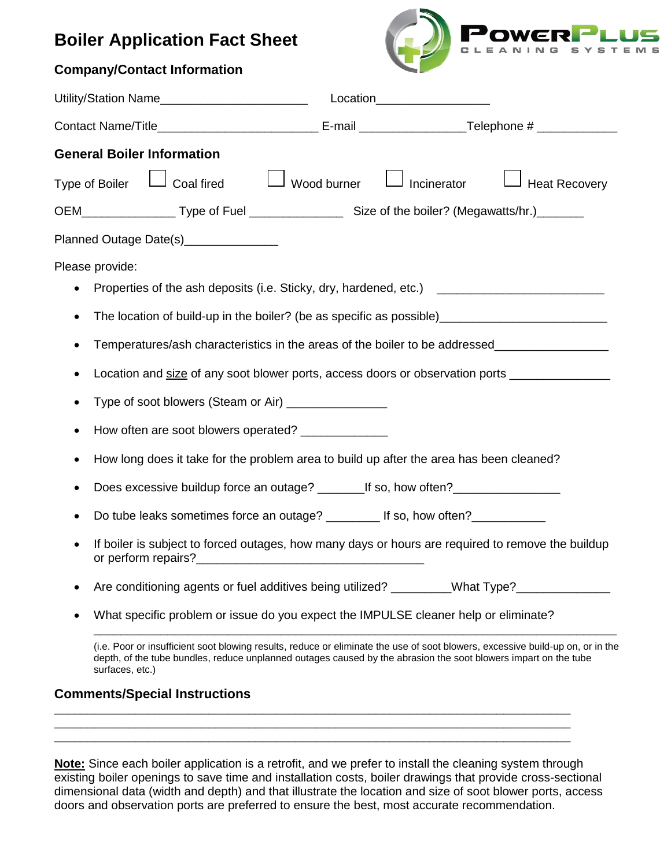## **Boiler Application Fact Sheet**



| <b>Company/Contact Information</b>                                                                                                                                                                                                                                   |                    |                              |                      |
|----------------------------------------------------------------------------------------------------------------------------------------------------------------------------------------------------------------------------------------------------------------------|--------------------|------------------------------|----------------------|
| Utility/Station Name________________________                                                                                                                                                                                                                         |                    | Location____________________ |                      |
|                                                                                                                                                                                                                                                                      |                    |                              |                      |
| <b>General Boiler Information</b>                                                                                                                                                                                                                                    |                    |                              |                      |
| Type of Boiler $\Box$ Coal fired                                                                                                                                                                                                                                     | $\Box$ Wood burner | Incinerator                  | <b>Heat Recovery</b> |
|                                                                                                                                                                                                                                                                      |                    |                              |                      |
| Planned Outage Date(s)________________                                                                                                                                                                                                                               |                    |                              |                      |
| Please provide:                                                                                                                                                                                                                                                      |                    |                              |                      |
| Properties of the ash deposits (i.e. Sticky, dry, hardened, etc.)                                                                                                                                                                                                    |                    |                              |                      |
| The location of build-up in the boiler? (be as specific as possible)________________________________<br>٠                                                                                                                                                            |                    |                              |                      |
| Temperatures/ash characteristics in the areas of the boiler to be addressed________________________<br>٠                                                                                                                                                             |                    |                              |                      |
| Location and size of any soot blower ports, access doors or observation ports ______________________                                                                                                                                                                 |                    |                              |                      |
| Type of soot blowers (Steam or Air) _________________<br>٠                                                                                                                                                                                                           |                    |                              |                      |
| How often are soot blowers operated? _______________<br>٠                                                                                                                                                                                                            |                    |                              |                      |
| How long does it take for the problem area to build up after the area has been cleaned?<br>٠                                                                                                                                                                         |                    |                              |                      |
| Does excessive buildup force an outage? _________ If so, how often?______________<br>٠                                                                                                                                                                               |                    |                              |                      |
| Do tube leaks sometimes force an outage? _________ If so, how often? ___________                                                                                                                                                                                     |                    |                              |                      |
| If boiler is subject to forced outages, how many days or hours are required to remove the buildup<br>or perform repairs?                                                                                                                                             |                    |                              |                      |
| Are conditioning agents or fuel additives being utilized? ________What Type?________________________                                                                                                                                                                 |                    |                              |                      |
| What specific problem or issue do you expect the IMPULSE cleaner help or eliminate?                                                                                                                                                                                  |                    |                              |                      |
| (i.e. Poor or insufficient soot blowing results, reduce or eliminate the use of soot blowers, excessive build-up on, or in the<br>depth, of the tube bundles, reduce unplanned outages caused by the abrasion the soot blowers impart on the tube<br>surfaces, etc.) |                    |                              |                      |
| <b>Comments/Special Instructions</b>                                                                                                                                                                                                                                 |                    |                              |                      |

**Note:** Since each boiler application is a retrofit, and we prefer to install the cleaning system through existing boiler openings to save time and installation costs, boiler drawings that provide cross-sectional dimensional data (width and depth) and that illustrate the location and size of soot blower ports, access doors and observation ports are preferred to ensure the best, most accurate recommendation.